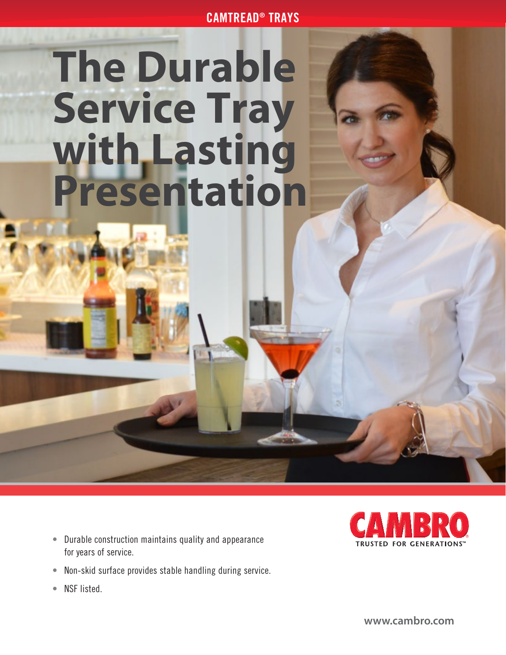CAMTREAD® TRAYS

## **The Durable Service Tray with Lasting Presentation**

- Durable construction maintains quality and appearance for years of service.
- Non-skid surface provides stable handling during service.
- NSF listed.



**[www.cambro.com](http://www.cambro.com)**